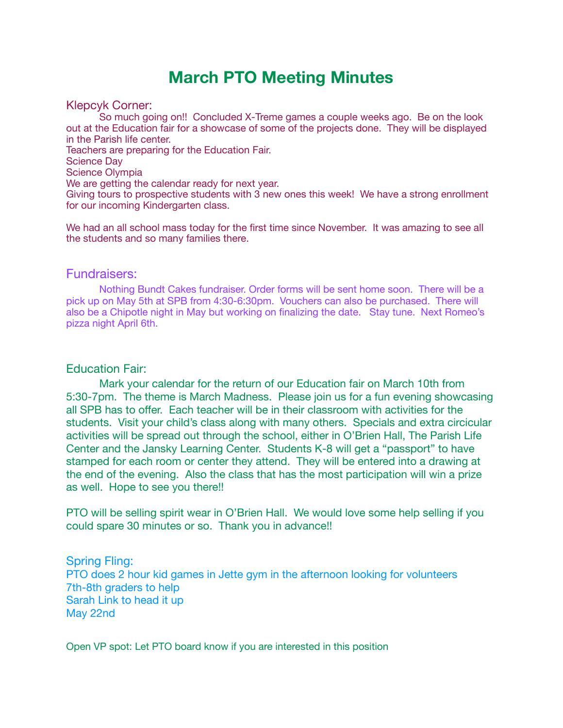## **March PTO Meeting Minutes**

Klepcyk Corner:

So much going on!! Concluded X-Treme games a couple weeks ago. Be on the look out at the Education fair for a showcase of some of the projects done. They will be displayed in the Parish life center. Teachers are preparing for the Education Fair. Science Day Science Olympia We are getting the calendar ready for next year.

Giving tours to prospective students with 3 new ones this week! We have a strong enrollment for our incoming Kindergarten class.

We had an all school mass today for the first time since November. It was amazing to see all the students and so many families there.

## Fundraisers:

Nothing Bundt Cakes fundraiser. Order forms will be sent home soon. There will be a pick up on May 5th at SPB from 4:30-6:30pm. Vouchers can also be purchased. There will also be a Chipotle night in May but working on finalizing the date. Stay tune. Next Romeo's pizza night April 6th.

## Education Fair:

Mark your calendar for the return of our Education fair on March 10th from 5:30-7pm. The theme is March Madness. Please join us for a fun evening showcasing all SPB has to offer. Each teacher will be in their classroom with activities for the students. Visit your child's class along with many others. Specials and extra circicular activities will be spread out through the school, either in O'Brien Hall, The Parish Life Center and the Jansky Learning Center. Students K-8 will get a "passport" to have stamped for each room or center they attend. They will be entered into a drawing at the end of the evening. Also the class that has the most participation will win a prize as well. Hope to see you there!!

PTO will be selling spirit wear in O'Brien Hall. We would love some help selling if you could spare 30 minutes or so. Thank you in advance!!

## Spring Fling:

PTO does 2 hour kid games in Jette gym in the afternoon looking for volunteers 7th-8th graders to help Sarah Link to head it up May 22nd

Open VP spot: Let PTO board know if you are interested in this position